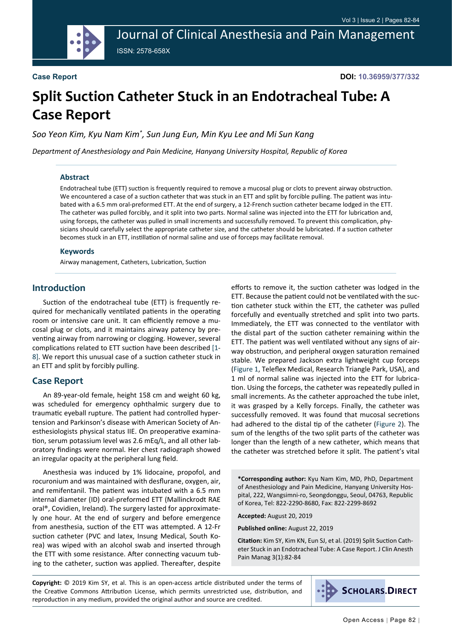Journal of Clinical Anesthesia and Pain Management ISSN: 2578-658X

#### **Case Report**

**DOI: 10.36959/377/332**

# **Split Suction Catheter Stuck in an Endotracheal Tube: A Case Report**

*Soo Yeon Kim, Kyu Nam Kim\* , Sun Jung Eun, Min Kyu Lee and Mi Sun Kang*

*Department of Anesthesiology and Pain Medicine, Hanyang University Hospital, Republic of Korea*

#### **Abstract**

Endotracheal tube (ETT) suction is frequently required to remove a mucosal plug or clots to prevent airway obstruction. We encountered a case of a suction catheter that was stuck in an ETT and split by forcible pulling. The patient was intubated with a 6.5 mm oral-preformed ETT. At the end of surgery, a 12-French suction catheter became lodged in the ETT. The catheter was pulled forcibly, and it split into two parts. Normal saline was injected into the ETT for lubrication and, using forceps, the catheter was pulled in small increments and successfully removed. To prevent this complication, physicians should carefully select the appropriate catheter size, and the catheter should be lubricated. If a suction catheter becomes stuck in an ETT, instillation of normal saline and use of forceps may facilitate removal.

#### **Keywords**

Airway management, Catheters, Lubrication, Suction

#### **Introduction**

Suction of the endotracheal tube (ETT) is frequently required for mechanically ventilated patients in the operating room or intensive care unit. It can efficiently remove a mucosal plug or clots, and it maintains airway patency by preventing airway from narrowing or clogging. However, several complications related to ETT suction have been described [\[1](#page-2-0)- [8\]](#page-2-1). We report this unusual case of a suction catheter stuck in an ETT and split by forcibly pulling.

#### **Case Report**

An 89-year-old female, height 158 cm and weight 60 kg, was scheduled for emergency ophthalmic surgery due to traumatic eyeball rupture. The patient had controlled hypertension and Parkinson's disease with American Society of Anesthesiologists physical status IIE. On preoperative examination, serum potassium level was 2.6 mEq/L, and all other laboratory findings were normal. Her chest radiograph showed an irregular opacity at the peripheral lung field.

Anesthesia was induced by 1% lidocaine, propofol, and rocuronium and was maintained with desflurane, oxygen, air, and remifentanil. The patient was intubated with a 6.5 mm internal diameter (ID) oral-preformed ETT (Mallinckrodt RAE oral®, Covidien, Ireland). The surgery lasted for approximately one hour. At the end of surgery and before emergence from anesthesia, suction of the ETT was attempted. A 12-Fr suction catheter (PVC and latex, Insung Medical, South Korea) was wiped with an alcohol swab and inserted through the ETT with some resistance. After connecting vacuum tubing to the catheter, suction was applied. Thereafter, despite

efforts to remove it, the suction catheter was lodged in the ETT. Because the patient could not be ventilated with the suction catheter stuck within the ETT, the catheter was pulled forcefully and eventually stretched and split into two parts. Immediately, the ETT was connected to the ventilator with the distal part of the suction catheter remaining within the ETT. The patient was well ventilated without any signs of airway obstruction, and peripheral oxygen saturation remained stable. We prepared Jackson extra lightweight cup forceps ([Figure 1](#page-1-0), Teleflex Medical, Research Triangle Park, USA), and 1 ml of normal saline was injected into the ETT for lubrication. Using the forceps, the catheter was repeatedly pulled in small increments. As the catheter approached the tube inlet, it was grasped by a Kelly forceps. Finally, the catheter was successfully removed. It was found that mucosal secretions had adhered to the distal tip of the catheter ([Figure 2](#page-1-1)). The sum of the lengths of the two split parts of the catheter was longer than the length of a new catheter, which means that the catheter was stretched before it split. The patient's vital

**\*Corresponding author:** Kyu Nam Kim, MD, PhD, Department of Anesthesiology and Pain Medicine, Hanyang University Hospital, 222, Wangsimni-ro, Seongdonggu, Seoul, 04763, Republic of Korea, Tel: 822-2290-8680, Fax: 822-2299-8692

**Accepted:** August 20, 2019

**Published online:** August 22, 2019

**Citation:** Kim SY, Kim KN, Eun SJ, et al. (2019) Split Suction Catheter Stuck in an Endotracheal Tube: A Case Report. J Clin Anesth Pain Manag 3(1):82-84

**Copyright:** © 2019 Kim SY, et al. This is an open-access article distributed under the terms of the Creative Commons Attribution License, which permits unrestricted use, distribution, and reproduction in any medium, provided the original author and source are credited.

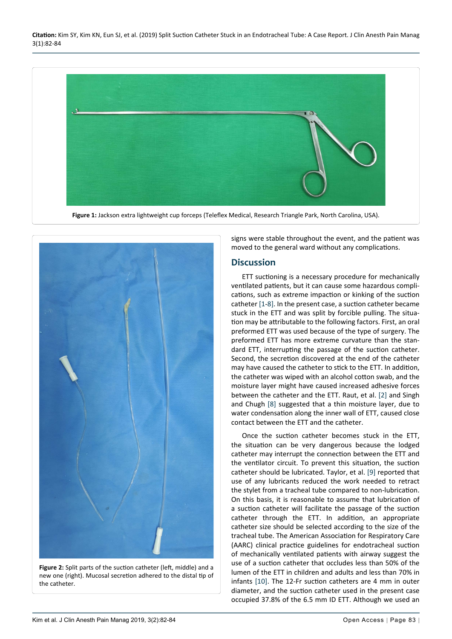**Citation:** Kim SY, Kim KN, Eun SJ, et al. (2019) Split Suction Catheter Stuck in an Endotracheal Tube: A Case Report. J Clin Anesth Pain Manag 3(1):82-84

<span id="page-1-0"></span>

<span id="page-1-1"></span>

**Figure 2:** Split parts of the suction catheter (left, middle) and a new one (right). Mucosal secretion adhered to the distal tip of the catheter.

signs were stable throughout the event, and the patient was moved to the general ward without any complications.

### **Discussion**

ETT suctioning is a necessary procedure for mechanically ventilated patients, but it can cause some hazardous complications, such as extreme impaction or kinking of the suction catheter [\[1](#page-2-0)[-8](#page-2-1)]. In the present case, a suction catheter became stuck in the ETT and was split by forcible pulling. The situation may be attributable to the following factors. First, an oral preformed ETT was used because of the type of surgery. The preformed ETT has more extreme curvature than the standard ETT, interrupting the passage of the suction catheter. Second, the secretion discovered at the end of the catheter may have caused the catheter to stick to the ETT. In addition, the catheter was wiped with an alcohol cotton swab, and the moisture layer might have caused increased adhesive forces between the catheter and the ETT. Raut, et al. [[2\]](#page-2-2) and Singh and Chugh [[8\]](#page-2-1) suggested that a thin moisture layer, due to water condensation along the inner wall of ETT, caused close contact between the ETT and the catheter.

Once the suction catheter becomes stuck in the ETT, the situation can be very dangerous because the lodged catheter may interrupt the connection between the ETT and the ventilator circuit. To prevent this situation, the suction catheter should be lubricated. Taylor, et al. [[9\]](#page-2-3) reported that use of any lubricants reduced the work needed to retract the stylet from a tracheal tube compared to non-lubrication. On this basis, it is reasonable to assume that lubrication of a suction catheter will facilitate the passage of the suction catheter through the ETT. In addition, an appropriate catheter size should be selected according to the size of the tracheal tube. The American Association for Respiratory Care (AARC) clinical practice guidelines for endotracheal suction of mechanically ventilated patients with airway suggest the use of a suction catheter that occludes less than 50% of the lumen of the ETT in children and adults and less than 70% in infants [[10](#page-2-4)]. The 12-Fr suction catheters are 4 mm in outer diameter, and the suction catheter used in the present case occupied 37.8% of the 6.5 mm ID ETT. Although we used an